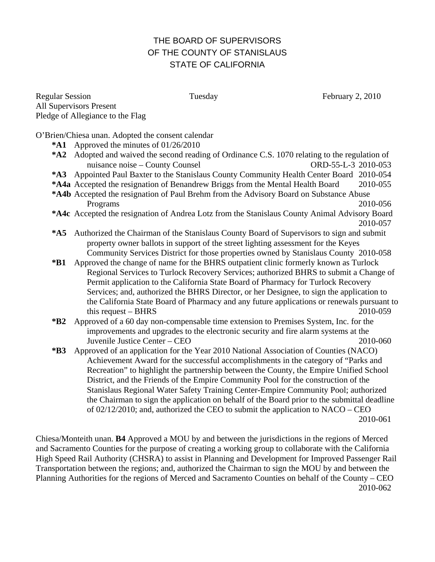## THE BOARD OF SUPERVISORS OF THE COUNTY OF STANISLAUS STATE OF CALIFORNIA

Regular Session Tuesday February 2, 2010 All Supervisors Present Pledge of Allegiance to the Flag

O'Brien/Chiesa unan. Adopted the consent calendar

- **\*A1** Approved the minutes of 01/26/2010
- **\*A2** Adopted and waived the second reading of Ordinance C.S. 1070 relating to the regulation of nuisance noise – County Counsel Counsel CORD-55-L-3 2010-053
- **\*A3** Appointed Paul Baxter to the Stanislaus County Community Health Center Board 2010-054
- **\*A4a** Accepted the resignation of Benandrew Briggs from the Mental Health Board 2010-055
- **\*A4b** Accepted the resignation of Paul Brehm from the Advisory Board on Substance Abuse Programs 2010-056
- **\*A4c** Accepted the resignation of Andrea Lotz from the Stanislaus County Animal Advisory Board 2010-057
- **\*A5** Authorized the Chairman of the Stanislaus County Board of Supervisors to sign and submit property owner ballots in support of the street lighting assessment for the Keyes Community Services District for those properties owned by Stanislaus County 2010-058
- **\*B1** Approved the change of name for the BHRS outpatient clinic formerly known as Turlock Regional Services to Turlock Recovery Services; authorized BHRS to submit a Change of Permit application to the California State Board of Pharmacy for Turlock Recovery Services; and, authorized the BHRS Director, or her Designee, to sign the application to the California State Board of Pharmacy and any future applications or renewals pursuant to this request – BHRS 2010-059
- **\*B2** Approved of a 60 day non-compensable time extension to Premises System, Inc. for the improvements and upgrades to the electronic security and fire alarm systems at the Juvenile Justice Center – CEO 2010-060
- **\*B3** Approved of an application for the Year 2010 National Association of Counties (NACO) Achievement Award for the successful accomplishments in the category of "Parks and Recreation" to highlight the partnership between the County, the Empire Unified School District, and the Friends of the Empire Community Pool for the construction of the Stanislaus Regional Water Safety Training Center-Empire Community Pool; authorized the Chairman to sign the application on behalf of the Board prior to the submittal deadline of 02/12/2010; and, authorized the CEO to submit the application to NACO – CEO 2010-061

Chiesa/Monteith unan. **B4** Approved a MOU by and between the jurisdictions in the regions of Merced and Sacramento Counties for the purpose of creating a working group to collaborate with the California High Speed Rail Authority (CHSRA) to assist in Planning and Development for Improved Passenger Rail Transportation between the regions; and, authorized the Chairman to sign the MOU by and between the Planning Authorities for the regions of Merced and Sacramento Counties on behalf of the County – CEO 2010-062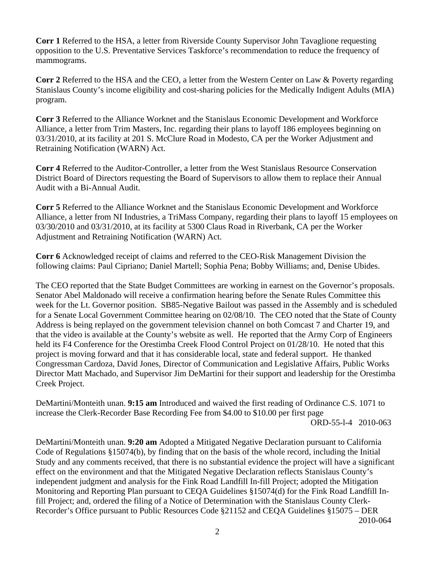**Corr 1** Referred to the HSA, a letter from Riverside County Supervisor John Tavaglione requesting opposition to the U.S. Preventative Services Taskforce's recommendation to reduce the frequency of mammograms.

**Corr 2** Referred to the HSA and the CEO, a letter from the Western Center on Law & Poverty regarding Stanislaus County's income eligibility and cost-sharing policies for the Medically Indigent Adults (MIA) program.

**Corr 3** Referred to the Alliance Worknet and the Stanislaus Economic Development and Workforce Alliance, a letter from Trim Masters, Inc. regarding their plans to layoff 186 employees beginning on 03/31/2010, at its facility at 201 S. McClure Road in Modesto, CA per the Worker Adjustment and Retraining Notification (WARN) Act.

**Corr 4** Referred to the Auditor-Controller, a letter from the West Stanislaus Resource Conservation District Board of Directors requesting the Board of Supervisors to allow them to replace their Annual Audit with a Bi-Annual Audit.

**Corr 5** Referred to the Alliance Worknet and the Stanislaus Economic Development and Workforce Alliance, a letter from NI Industries, a TriMass Company, regarding their plans to layoff 15 employees on 03/30/2010 and 03/31/2010, at its facility at 5300 Claus Road in Riverbank, CA per the Worker Adjustment and Retraining Notification (WARN) Act.

**Corr 6** Acknowledged receipt of claims and referred to the CEO-Risk Management Division the following claims: Paul Cipriano; Daniel Martell; Sophia Pena; Bobby Williams; and, Denise Ubides.

The CEO reported that the State Budget Committees are working in earnest on the Governor's proposals. Senator Abel Maldonado will receive a confirmation hearing before the Senate Rules Committee this week for the Lt. Governor position. SB85-Negative Bailout was passed in the Assembly and is scheduled for a Senate Local Government Committee hearing on 02/08/10. The CEO noted that the State of County Address is being replayed on the government television channel on both Comcast 7 and Charter 19, and that the video is available at the County's website as well. He reported that the Army Corp of Engineers held its F4 Conference for the Orestimba Creek Flood Control Project on 01/28/10. He noted that this project is moving forward and that it has considerable local, state and federal support. He thanked Congressman Cardoza, David Jones, Director of Communication and Legislative Affairs, Public Works Director Matt Machado, and Supervisor Jim DeMartini for their support and leadership for the Orestimba Creek Project.

DeMartini/Monteith unan. **9:15 am** Introduced and waived the first reading of Ordinance C.S. 1071 to increase the Clerk-Recorder Base Recording Fee from \$4.00 to \$10.00 per first page

ORD-55-l-4 2010-063

DeMartini/Monteith unan. **9:20 am** Adopted a Mitigated Negative Declaration pursuant to California Code of Regulations §15074(b), by finding that on the basis of the whole record, including the Initial Study and any comments received, that there is no substantial evidence the project will have a significant effect on the environment and that the Mitigated Negative Declaration reflects Stanislaus County's independent judgment and analysis for the Fink Road Landfill In-fill Project; adopted the Mitigation Monitoring and Reporting Plan pursuant to CEQA Guidelines §15074(d) for the Fink Road Landfill Infill Project; and, ordered the filing of a Notice of Determination with the Stanislaus County Clerk-Recorder's Office pursuant to Public Resources Code §21152 and CEQA Guidelines §15075 – DER 2010-064